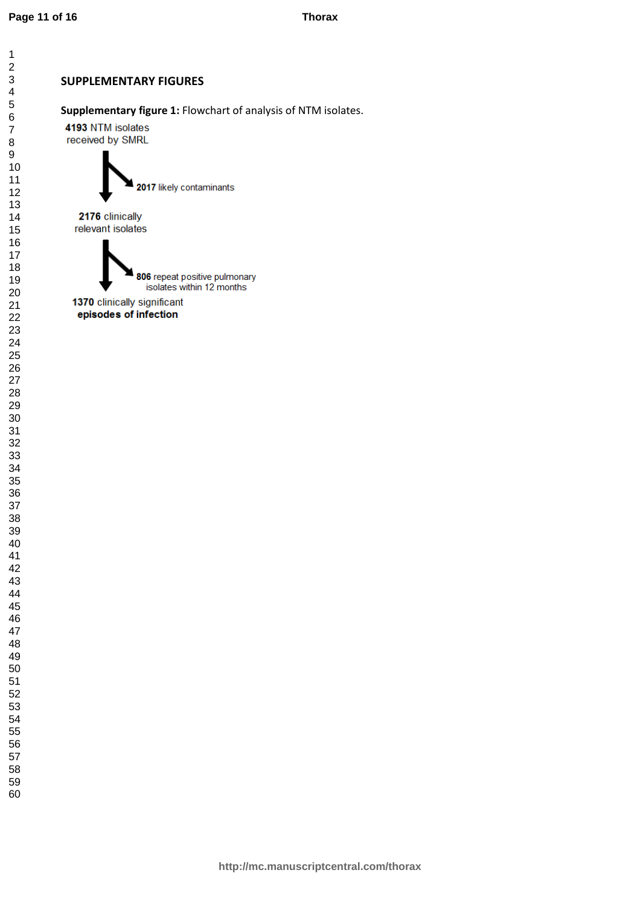## SUPPLEMENTARY FIGURES

Supplementary figure 1: Flowchart of analysis of NTM isolates.

4193 NTM isolates received by SMRL



2176 clinically relevant isolates

> 806 repeat positive pulmonary isolates within 12 months

1370 clinically significant episodes of infection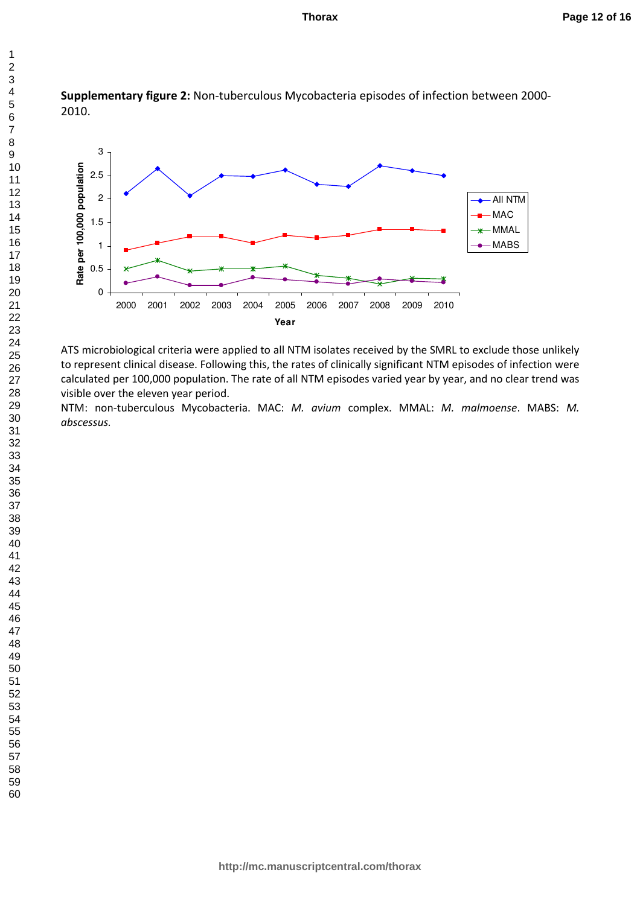



ATS microbiological criteria were applied to all NTM isolates received by the SMRL to exclude those unlikely to represent clinical disease. Following this, the rates of clinically significant NTM episodes of infection were calculated per 100,000 population. The rate of all NTM episodes varied year by year, and no clear trend was visible over the eleven year period.

NTM: non-tuberculous Mycobacteria. MAC: M. avium complex. MMAL: M. malmoense. MABS: M. abscessus.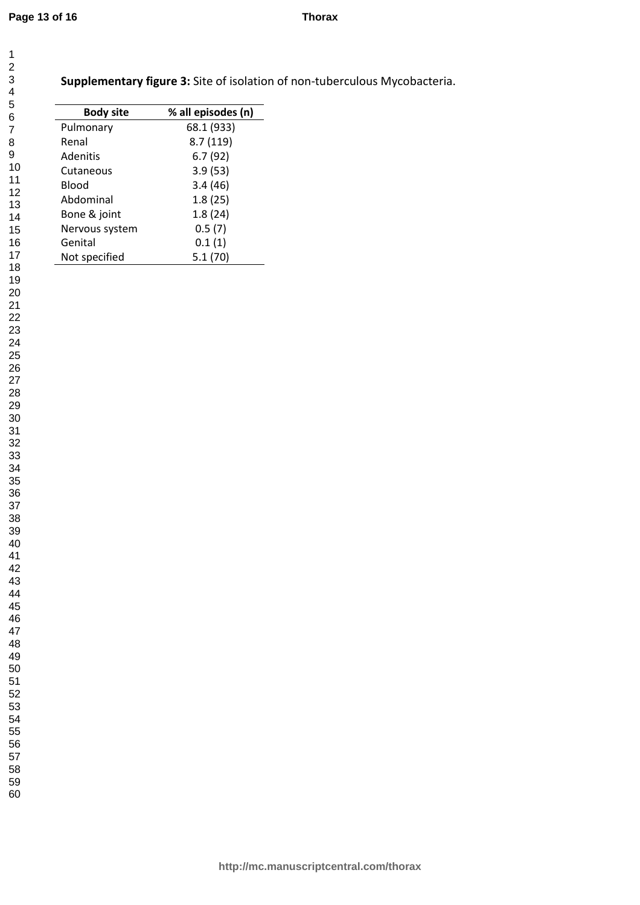| 41      |
|---------|
|         |
| 42      |
| 43      |
| 44      |
|         |
| 45      |
| 46      |
| 47      |
|         |
| 48      |
| 49      |
| 50      |
|         |
| 51      |
| 52      |
|         |
| 53<br>ξ |
| 54      |
| 55      |
|         |
| 56      |
| 57      |
| 58      |
|         |
| 59      |

Supplementary figure 3: Site of isolation of non-tuberculous Mycobacteria.

| <b>Body site</b> | % all episodes (n) |
|------------------|--------------------|
| Pulmonary        | 68.1 (933)         |
| Renal            | 8.7(119)           |
| <b>Adenitis</b>  | 6.7(92)            |
| Cutaneous        | 3.9(53)            |
| Blood            | 3.4(46)            |
| Abdominal        | 1.8(25)            |
| Bone & joint     | 1.8(24)            |
| Nervous system   | 0.5(7)             |
| Genital          | 0.1(1)             |
| Not specified    | 5.1 (70)           |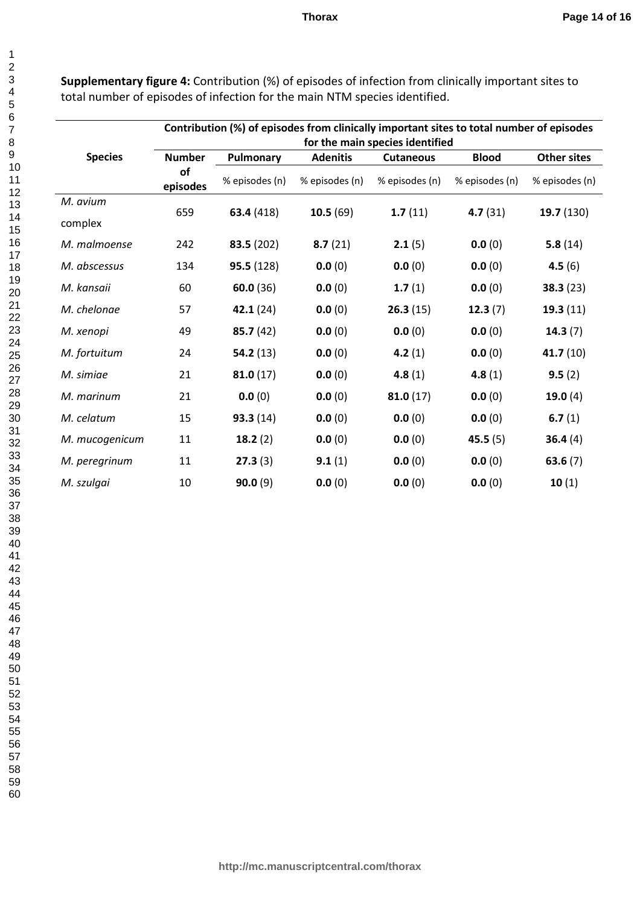Supplementary figure 4: Contribution (%) of episodes of infection from clinically important sites to total number of episodes of infection for the main NTM species identified.

|                | Contribution (%) of episodes from clinically important sites to total number of episodes<br>for the main species identified |                |                                   |                                    |                                |                                      |
|----------------|-----------------------------------------------------------------------------------------------------------------------------|----------------|-----------------------------------|------------------------------------|--------------------------------|--------------------------------------|
| <b>Species</b> | <b>Number</b><br><b>of</b><br>episodes                                                                                      | Pulmonary      | <b>Adenitis</b><br>% episodes (n) | <b>Cutaneous</b><br>% episodes (n) | <b>Blood</b><br>% episodes (n) | <b>Other sites</b><br>% episodes (n) |
|                |                                                                                                                             | % episodes (n) |                                   |                                    |                                |                                      |
| M. avium       | 659                                                                                                                         |                |                                   |                                    |                                |                                      |
| complex        |                                                                                                                             | 63.4 (418)     | 10.5(69)                          | 1.7(11)                            | 4.7(31)                        | 19.7(130)                            |
| M. malmoense   | 242                                                                                                                         | 83.5 (202)     | 8.7(21)                           | 2.1(5)                             | 0.0(0)                         | 5.8(14)                              |
| M. abscessus   | 134                                                                                                                         | 95.5(128)      | 0.0(0)                            | 0.0(0)                             | 0.0(0)                         | 4.5(6)                               |
| M. kansaii     | 60                                                                                                                          | 60.0(36)       | 0.0(0)                            | 1.7(1)                             | 0.0(0)                         | 38.3(23)                             |
| M. chelonae    | 57                                                                                                                          | 42.1(24)       | 0.0(0)                            | 26.3(15)                           | 12.3(7)                        | 19.3(11)                             |
| M. xenopi      | 49                                                                                                                          | 85.7(42)       | 0.0(0)                            | 0.0(0)                             | 0.0(0)                         | 14.3(7)                              |
| M. fortuitum   | 24                                                                                                                          | 54.2(13)       | 0.0(0)                            | 4.2 $(1)$                          | 0.0(0)                         | 41.7 $(10)$                          |
| M. simiae      | 21                                                                                                                          | 81.0(17)       | 0.0(0)                            | 4.8 $(1)$                          | 4.8(1)                         | 9.5(2)                               |
| M. marinum     | 21                                                                                                                          | 0.0(0)         | 0.0(0)                            | 81.0(17)                           | 0.0(0)                         | 19.0(4)                              |
| M. celatum     | 15                                                                                                                          | 93.3(14)       | 0.0(0)                            | 0.0(0)                             | 0.0(0)                         | 6.7 $(1)$                            |
| M. mucogenicum | 11                                                                                                                          | 18.2(2)        | 0.0(0)                            | 0.0(0)                             | 45.5(5)                        | 36.4(4)                              |
| M. peregrinum  | $11\,$                                                                                                                      | 27.3(3)        | 9.1(1)                            | 0.0(0)                             | 0.0(0)                         | 63.6(7)                              |
| M. szulgai     | 10                                                                                                                          | 90.0(9)        | 0.0(0)                            | 0.0(0)                             | 0.0(0)                         | 10(1)                                |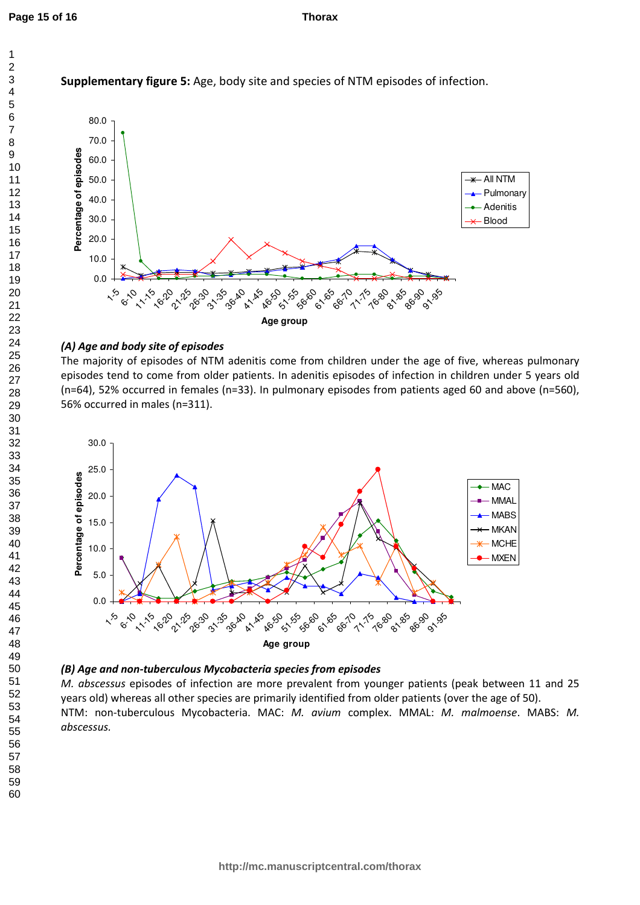1



Supplementary figure 5: Age, body site and species of NTM episodes of infection.

## (A) Age and body site of episodes

The majority of episodes of NTM adenitis come from children under the age of five, whereas pulmonary episodes tend to come from older patients. In adenitis episodes of infection in children under 5 years old (n=64), 52% occurred in females (n=33). In pulmonary episodes from patients aged 60 and above (n=560), 56% occurred in males (n=311).



## (B) Age and non-tuberculous Mycobacteria species from episodes

M. abscessus episodes of infection are more prevalent from younger patients (peak between 11 and 25 years old) whereas all other species are primarily identified from older patients (over the age of 50). NTM: non-tuberculous Mycobacteria. MAC: M. avium complex. MMAL: M. malmoense. MABS: M. abscessus.